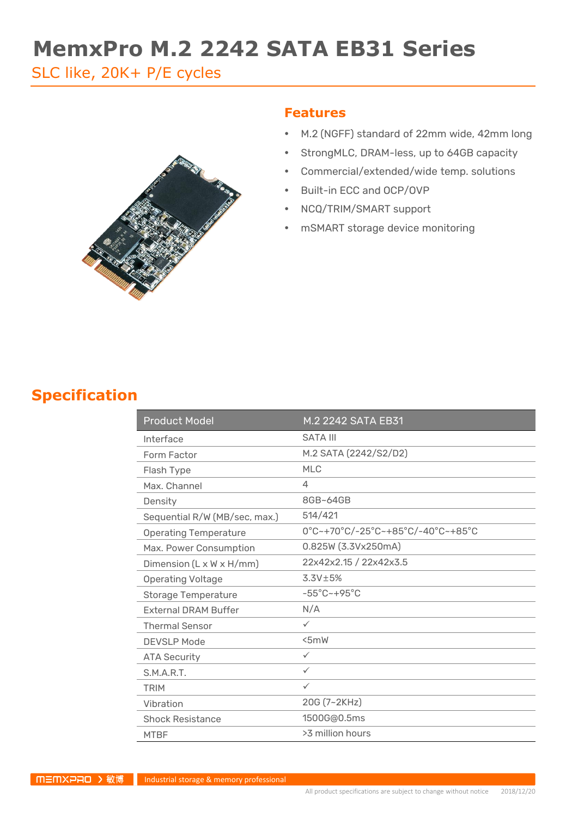# **MemxPro M.2 2242 SATA EB31 Series**

SLC like, 20K+ P/E cycles



#### **Features**

- M.2 (NGFF) standard of 22mm wide, 42mm long
- StrongMLC, DRAM-less, up to 64GB capacity
- Commercial/extended/wide temp. solutions
- Built-in ECC and OCP/OVP
- NCQ/TRIM/SMART support
- mSMART storage device monitoring

### **Specification**

| <b>Product Model</b>          | M.2 2242 SATA EB31                |  |
|-------------------------------|-----------------------------------|--|
| Interface                     | <b>SATA III</b>                   |  |
| Form Factor                   | M.2 SATA (2242/S2/D2)             |  |
| Flash Type                    | <b>MLC</b>                        |  |
| Max. Channel                  | 4                                 |  |
| Density                       | 8GB~64GB                          |  |
| Sequential R/W (MB/sec, max.) | 514/421                           |  |
| <b>Operating Temperature</b>  | 0°C~+70°C/-25°C~+85°C/-40°C~+85°C |  |
| Max. Power Consumption        | 0.825W (3.3Vx250mA)               |  |
| Dimension (L x W x H/mm)      | 22x42x2.15 / 22x42x3.5            |  |
| <b>Operating Voltage</b>      | $3.3V \pm 5%$                     |  |
| <b>Storage Temperature</b>    | $-55^{\circ}$ C $-+95^{\circ}$ C  |  |
| <b>External DRAM Buffer</b>   | N/A                               |  |
| <b>Thermal Sensor</b>         | $\checkmark$                      |  |
| <b>DEVSLP Mode</b>            | 5mW                               |  |
| <b>ATA Security</b>           | $\checkmark$                      |  |
| S.M.A.R.T.                    | $\checkmark$                      |  |
| <b>TRIM</b>                   | $\checkmark$                      |  |
| Vibration                     | 20G (7~2KHz)                      |  |
| <b>Shock Resistance</b>       | 1500G@0.5ms                       |  |
| <b>MTBF</b>                   | >3 million hours                  |  |